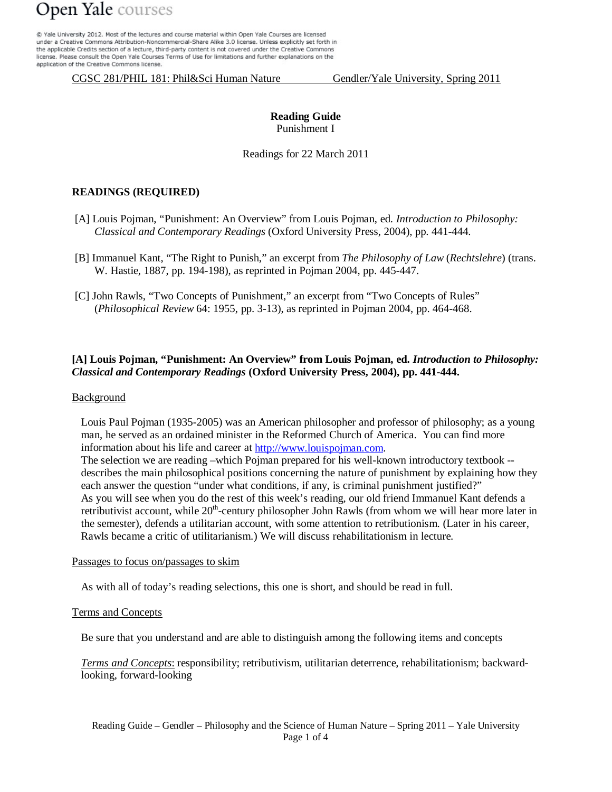@ Yale University 2012. Most of the lectures and course material within Open Yale Courses are licensed under a Creative Commons Attribution-Noncommercial-Share Alike 3.0 license. Unless explicitly set forth in the applicable Credits section of a lecture, third-party content is not covered under the Creative Commons license. Please consult the Open Yale Courses Terms of Use for limitations and further explanations on the application of the Creative Commons license.

CGSC 281/PHIL 181: Phil&Sci Human Nature Gendler/Yale University, Spring 2011

## **Reading Guide** Punishment I

Readings for 22 March 2011

## **READINGS (REQUIRED)**

- [A] Louis Pojman, "Punishment: An Overview" from Louis Pojman, ed. *Introduction to Philosophy: Classical and Contemporary Readings* (Oxford University Press, 2004), pp. 441-444.
- [B] Immanuel Kant, "The Right to Punish," an excerpt from *The Philosophy of Law* (*Rechtslehre*) (trans. W. Hastie, 1887, pp. 194-198), as reprinted in Pojman 2004, pp. 445-447.
- [C] John Rawls, "Two Concepts of Punishment," an excerpt from "Two Concepts of Rules" (*Philosophical Review* 64: 1955, pp. 3-13), as reprinted in Pojman 2004, pp. 464-468.

## **[A] Louis Pojman, "Punishment: An Overview" from Louis Pojman, ed.** *Introduction to Philosophy: Classical and Contemporary Readings* **(Oxford University Press, 2004), pp. 441-444.**

### Background

Louis Paul Pojman (1935-2005) was an American philosopher and professor of philosophy; as a young man, he served as an ordained minister in the Reformed Church of America. You can find more information about his life and career at [http://www.louispojman.com.](http://www.louispojman.com/) The selection we are reading –which Pojman prepared for his well-known introductory textbook - describes the main philosophical positions concerning the nature of punishment by explaining how they each answer the question "under what conditions, if any, is criminal punishment justified?" As you will see when you do the rest of this week's reading, our old friend Immanuel Kant defends a retributivist account, while  $20<sup>th</sup>$ -century philosopher John Rawls (from whom we will hear more later in the semester), defends a utilitarian account, with some attention to retributionism. (Later in his career, Rawls became a critic of utilitarianism.) We will discuss rehabilitationism in lecture.

#### Passages to focus on/passages to skim

As with all of today's reading selections, this one is short, and should be read in full.

#### Terms and Concepts

Be sure that you understand and are able to distinguish among the following items and concepts

*Terms and Concepts*: responsibility; retributivism, utilitarian deterrence, rehabilitationism; backwardlooking, forward-looking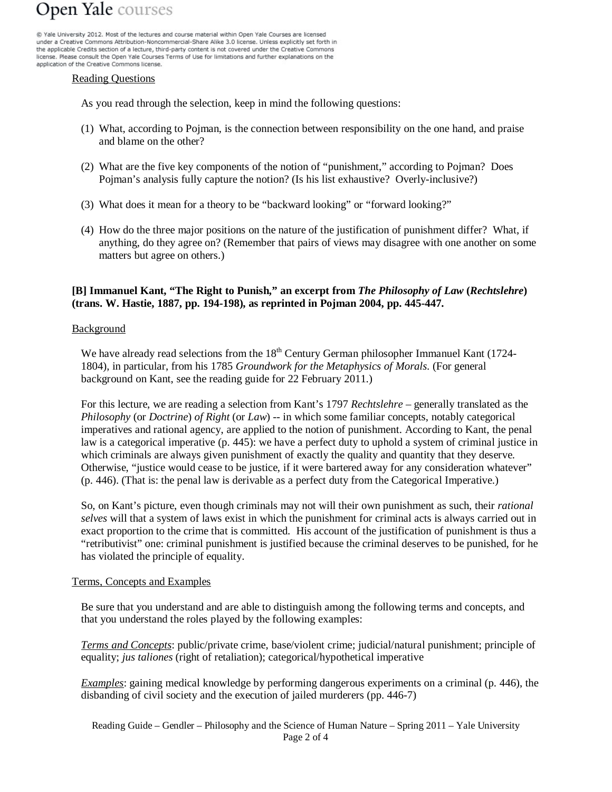@ Yale University 2012. Most of the lectures and course material within Open Yale Courses are licensed under a Creative Commons Attribution-Noncommercial-Share Alike 3.0 license. Unless explicitly set forth in the applicable Credits section of a lecture, third-party content is not covered under the Creative Commons license. Please consult the Open Yale Courses Terms of Use for limitations and further explanations on the application of the Creative Commons license.

#### Reading Questions

As you read through the selection, keep in mind the following questions:

- (1) What, according to Pojman, is the connection between responsibility on the one hand, and praise and blame on the other?
- (2) What are the five key components of the notion of "punishment," according to Pojman? Does Pojman's analysis fully capture the notion? (Is his list exhaustive? Overly-inclusive?)
- (3) What does it mean for a theory to be "backward looking" or "forward looking?"
- (4) How do the three major positions on the nature of the justification of punishment differ? What, if anything, do they agree on? (Remember that pairs of views may disagree with one another on some matters but agree on others.)

## **[B] Immanuel Kant, "The Right to Punish," an excerpt from** *The Philosophy of Law* **(***Rechtslehre***) (trans. W. Hastie, 1887, pp. 194-198), as reprinted in Pojman 2004, pp. 445-447.**

## Background

We have already read selections from the  $18<sup>th</sup>$  Century German philosopher Immanuel Kant (1724-1804), in particular, from his 1785 *Groundwork for the Metaphysics of Morals*. (For general background on Kant, see the reading guide for 22 February 2011.)

For this lecture, we are reading a selection from Kant's 1797 *Rechtslehre* – generally translated as the *Philosophy* (or *Doctrine*) *of Right* (or *Law*) -- in which some familiar concepts, notably categorical imperatives and rational agency, are applied to the notion of punishment. According to Kant, the penal law is a categorical imperative (p. 445): we have a perfect duty to uphold a system of criminal justice in which criminals are always given punishment of exactly the quality and quantity that they deserve. Otherwise, "justice would cease to be justice, if it were bartered away for any consideration whatever" (p. 446). (That is: the penal law is derivable as a perfect duty from the Categorical Imperative.)

So, on Kant's picture, even though criminals may not will their own punishment as such, their *rational selves* will that a system of laws exist in which the punishment for criminal acts is always carried out in exact proportion to the crime that is committed. His account of the justification of punishment is thus a "retributivist" one: criminal punishment is justified because the criminal deserves to be punished, for he has violated the principle of equality.

## Terms, Concepts and Examples

Be sure that you understand and are able to distinguish among the following terms and concepts, and that you understand the roles played by the following examples:

*Terms and Concepts*: public/private crime, base/violent crime; judicial/natural punishment; principle of equality; *jus taliones* (right of retaliation); categorical/hypothetical imperative

*Examples*: gaining medical knowledge by performing dangerous experiments on a criminal (p. 446), the disbanding of civil society and the execution of jailed murderers (pp. 446-7)

Reading Guide – Gendler – Philosophy and the Science of Human Nature – Spring 2011 – Yale University Page 2 of 4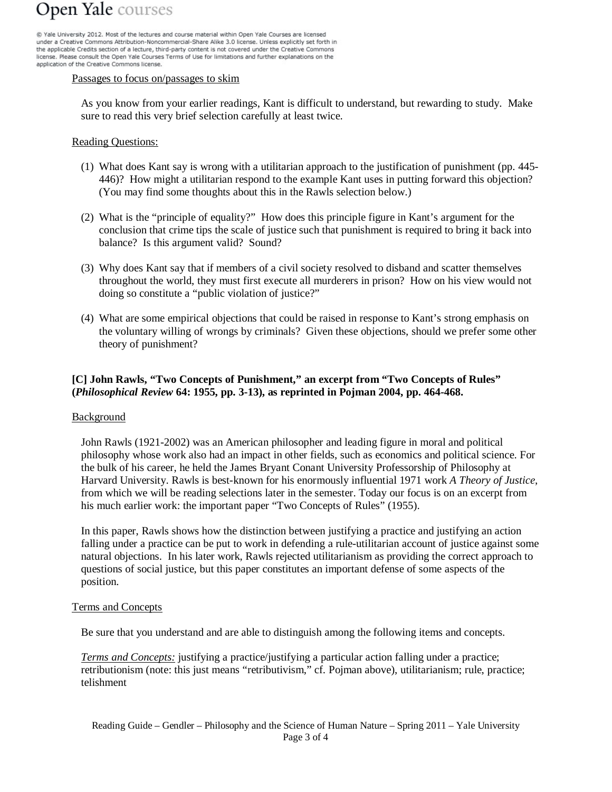@ Yale University 2012. Most of the lectures and course material within Open Yale Courses are licensed under a Creative Commons Attribution-Noncommercial-Share Alike 3.0 license. Unless explicitly set forth in the applicable Credits section of a lecture, third-party content is not covered under the Creative Commons license. Please consult the Open Yale Courses Terms of Use for limitations and further explanations on the application of the Creative Commons license.

#### Passages to focus on/passages to skim

As you know from your earlier readings, Kant is difficult to understand, but rewarding to study. Make sure to read this very brief selection carefully at least twice.

### Reading Questions:

- (1) What does Kant say is wrong with a utilitarian approach to the justification of punishment (pp. 445- 446)? How might a utilitarian respond to the example Kant uses in putting forward this objection? (You may find some thoughts about this in the Rawls selection below.)
- (2) What is the "principle of equality?" How does this principle figure in Kant's argument for the conclusion that crime tips the scale of justice such that punishment is required to bring it back into balance? Is this argument valid? Sound?
- (3) Why does Kant say that if members of a civil society resolved to disband and scatter themselves throughout the world, they must first execute all murderers in prison? How on his view would not doing so constitute a "public violation of justice?"
- (4) What are some empirical objections that could be raised in response to Kant's strong emphasis on the voluntary willing of wrongs by criminals? Given these objections, should we prefer some other theory of punishment?

## **[C] John Rawls, "Two Concepts of Punishment," an excerpt from "Two Concepts of Rules" (***Philosophical Review* **64: 1955, pp. 3-13), as reprinted in Pojman 2004, pp. 464-468.**

#### **Background**

John Rawls (1921-2002) was an American philosopher and leading figure in moral and political philosophy whose work also had an impact in other fields, such as economics and political science. For the bulk of his career, he held the James Bryant Conant University Professorship of Philosophy at Harvard University. Rawls is best-known for his enormously influential 1971 work *A Theory of Justice*, from which we will be reading selections later in the semester. Today our focus is on an excerpt from his much earlier work: the important paper "Two Concepts of Rules" (1955).

In this paper, Rawls shows how the distinction between justifying a practice and justifying an action falling under a practice can be put to work in defending a rule-utilitarian account of justice against some natural objections. In his later work, Rawls rejected utilitarianism as providing the correct approach to questions of social justice, but this paper constitutes an important defense of some aspects of the position.

#### Terms and Concepts

Be sure that you understand and are able to distinguish among the following items and concepts.

*Terms and Concepts:* justifying a practice/justifying a particular action falling under a practice; retributionism (note: this just means "retributivism," cf. Pojman above), utilitarianism; rule, practice; telishment